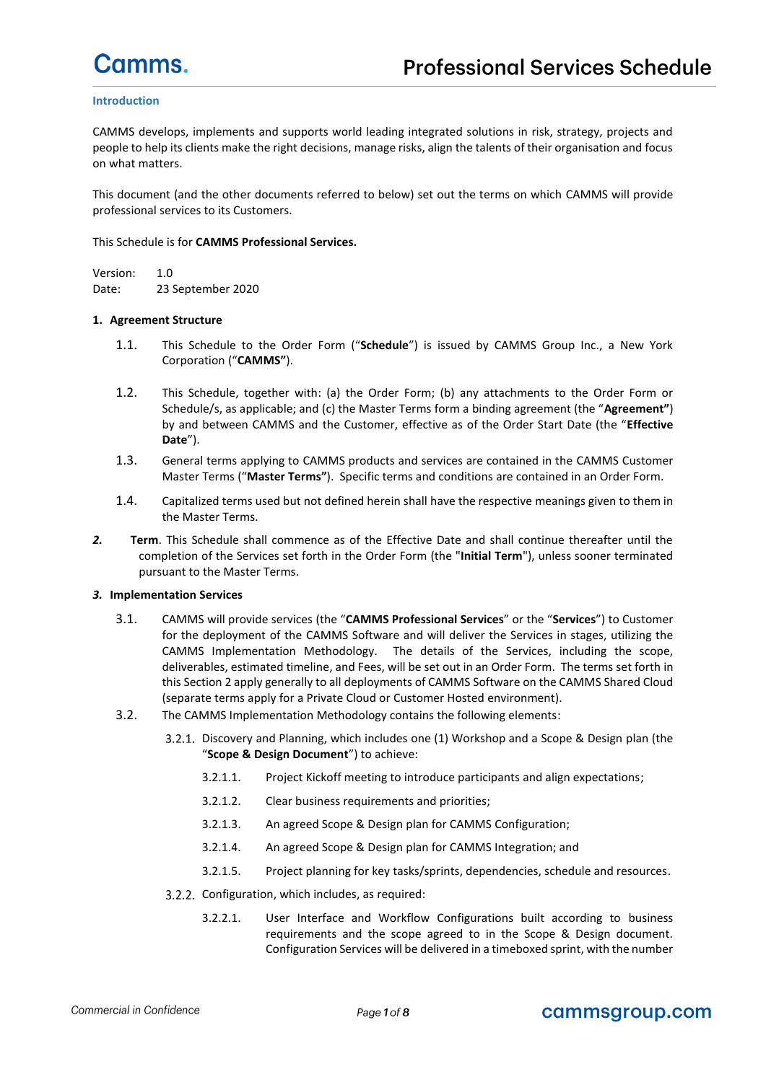#### **Introduction**

CAMMS develops, implements and supports world leading integrated solutions in risk, strategy, projects and people to help its clients make the right decisions, manage risks, align the talents of their organisation and focus on what matters.

This document (and the other documents referred to below) set out the terms on which CAMMS will provide professional services to its Customers.

#### This Schedule is for **CAMMS Professional Services.**

Version: 1.0 Date: 23 September 2020

#### **1. Agreement Structure**

- 1.1. This Schedule to the Order Form ("**Schedule**") is issued by CAMMS Group Inc., a New York Corporation ("**CAMMS"**).
- 1.2. This Schedule, together with: (a) the Order Form; (b) any attachments to the Order Form or Schedule/s, as applicable; and (c) the Master Terms form a binding agreement (the "**Agreement"**) by and between CAMMS and the Customer, effective as of the Order Start Date (the "**Effective Date**").
- 1.3. General terms applying to CAMMS products and services are contained in the CAMMS Customer Master Terms ("**Master Terms"**). Specific terms and conditions are contained in an Order Form.
- 1.4. Capitalized terms used but not defined herein shall have the respective meanings given to them in the Master Terms.
- *2.* **Term**. This Schedule shall commence as of the Effective Date and shall continue thereafter until the completion of the Services set forth in the Order Form (the "**Initial Term**"), unless sooner terminated pursuant to the Master Terms.

#### *3.* **Implementation Services**

- 3.1. CAMMS will provide services (the "**CAMMS Professional Services**" or the "**Services**") to Customer for the deployment of the CAMMS Software and will deliver the Services in stages, utilizing the CAMMS Implementation Methodology. The details of the Services, including the scope, deliverables, estimated timeline, and Fees, will be set out in an Order Form. The terms set forth in this Section 2 apply generally to all deployments of CAMMS Software on the CAMMS Shared Cloud (separate terms apply for a Private Cloud or Customer Hosted environment).
- 3.2. The CAMMS Implementation Methodology contains the following elements:
	- Discovery and Planning, which includes one (1) Workshop and a Scope & Design plan (the "**Scope & Design Document**") to achieve:
		- 3.2.1.1. Project Kickoff meeting to introduce participants and align expectations;
		- 3.2.1.2. Clear business requirements and priorities;
		- 3.2.1.3. An agreed Scope & Design plan for CAMMS Configuration;
		- 3.2.1.4. An agreed Scope & Design plan for CAMMS Integration; and
		- 3.2.1.5. Project planning for key tasks/sprints, dependencies, schedule and resources.
	- 3.2.2. Configuration, which includes, as required:
		- 3.2.2.1. User Interface and Workflow Configurations built according to business requirements and the scope agreed to in the Scope & Design document. Configuration Services will be delivered in a timeboxed sprint, with the number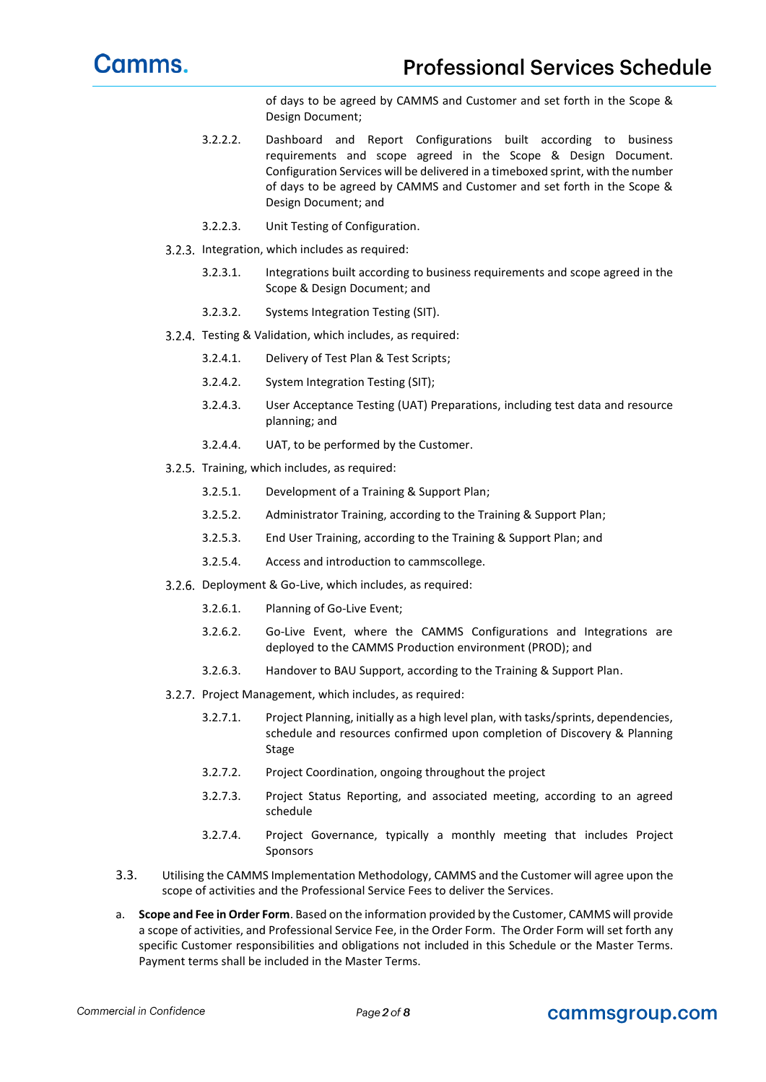of days to be agreed by CAMMS and Customer and set forth in the Scope & Design Document;

- 3.2.2.2. Dashboard and Report Configurations built according to business requirements and scope agreed in the Scope & Design Document. Configuration Services will be delivered in a timeboxed sprint, with the number of days to be agreed by CAMMS and Customer and set forth in the Scope & Design Document; and
- 3.2.2.3. Unit Testing of Configuration.
- 3.2.3. Integration, which includes as required:
	- 3.2.3.1. Integrations built according to business requirements and scope agreed in the Scope & Design Document; and
	- 3.2.3.2. Systems Integration Testing (SIT).
- 3.2.4. Testing & Validation, which includes, as required:
	- 3.2.4.1. Delivery of Test Plan & Test Scripts;
	- 3.2.4.2. System Integration Testing (SIT);
	- 3.2.4.3. User Acceptance Testing (UAT) Preparations, including test data and resource planning; and
	- 3.2.4.4. UAT, to be performed by the Customer.
- 3.2.5. Training, which includes, as required:
	- 3.2.5.1. Development of a Training & Support Plan;
	- 3.2.5.2. Administrator Training, according to the Training & Support Plan;
	- 3.2.5.3. End User Training, according to the Training & Support Plan; and
	- 3.2.5.4. Access and introduction to cammscollege.
- 3.2.6. Deployment & Go-Live, which includes, as required:
	- 3.2.6.1. Planning of Go-Live Event;
	- 3.2.6.2. Go-Live Event, where the CAMMS Configurations and Integrations are deployed to the CAMMS Production environment (PROD); and
	- 3.2.6.3. Handover to BAU Support, according to the Training & Support Plan.
- 3.2.7. Project Management, which includes, as required:
	- 3.2.7.1. Project Planning, initially as a high level plan, with tasks/sprints, dependencies, schedule and resources confirmed upon completion of Discovery & Planning Stage
	- 3.2.7.2. Project Coordination, ongoing throughout the project
	- 3.2.7.3. Project Status Reporting, and associated meeting, according to an agreed schedule
	- 3.2.7.4. Project Governance, typically a monthly meeting that includes Project Sponsors
- 3.3. Utilising the CAMMS Implementation Methodology, CAMMS and the Customer will agree upon the scope of activities and the Professional Service Fees to deliver the Services.
- a. **Scope and Fee in Order Form**. Based on the information provided by the Customer, CAMMS will provide a scope of activities, and Professional Service Fee, in the Order Form. The Order Form will set forth any specific Customer responsibilities and obligations not included in this Schedule or the Master Terms. Payment terms shall be included in the Master Terms.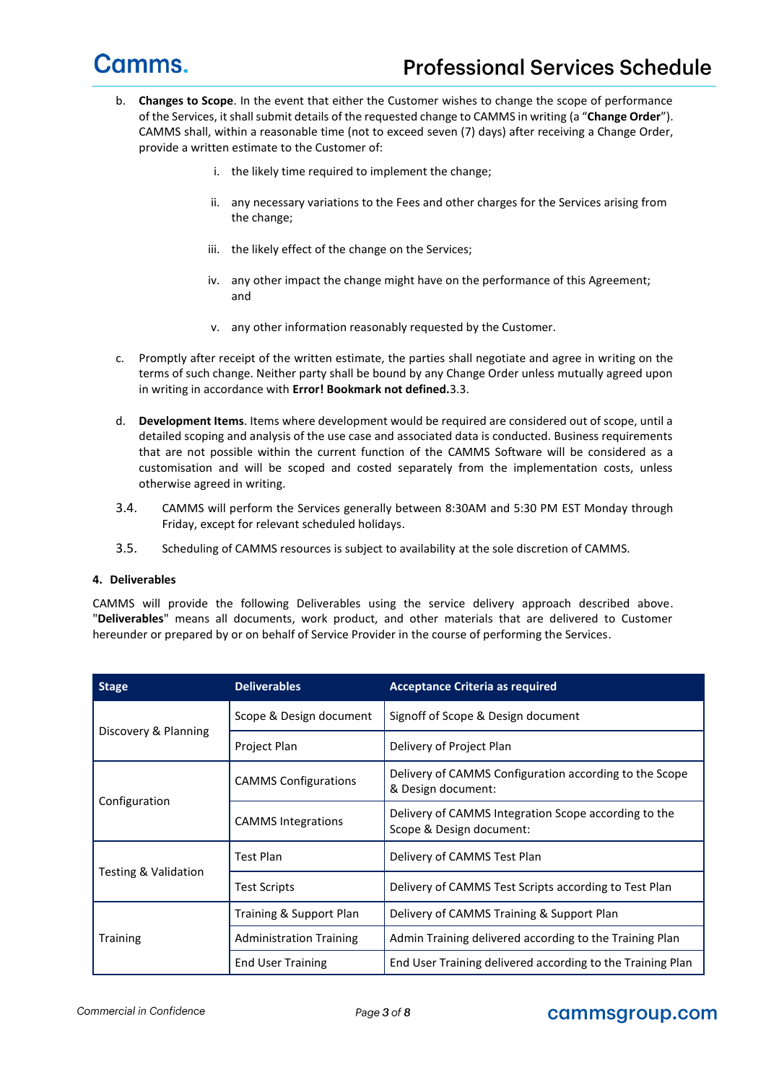- b. **Changes to Scope**. In the event that either the Customer wishes to change the scope of performance of the Services, it shall submit details of the requested change to CAMMS in writing (a "**Change Order**"). CAMMS shall, within a reasonable time (not to exceed seven (7) days) after receiving a Change Order, provide a written estimate to the Customer of:
	- i. the likely time required to implement the change;
	- ii. any necessary variations to the Fees and other charges for the Services arising from the change;
	- iii. the likely effect of the change on the Services;
	- iv. any other impact the change might have on the performance of this Agreement; and
	- v. any other information reasonably requested by the Customer.
- c. Promptly after receipt of the written estimate, the parties shall negotiate and agree in writing on the terms of such change. Neither party shall be bound by any Change Order unless mutually agreed upon in writing in accordance with **Error! Bookmark not defined.**3.3.
- d. **Development Items**. Items where development would be required are considered out of scope, until a detailed scoping and analysis of the use case and associated data is conducted. Business requirements that are not possible within the current function of the CAMMS Software will be considered as a customisation and will be scoped and costed separately from the implementation costs, unless otherwise agreed in writing.
- 3.4. CAMMS will perform the Services generally between 8:30AM and 5:30 PM EST Monday through Friday, except for relevant scheduled holidays.
- 3.5. Scheduling of CAMMS resources is subject to availability at the sole discretion of CAMMS.

#### **4. Deliverables**

CAMMS will provide the following Deliverables using the service delivery approach described above. "**Deliverables**" means all documents, work product, and other materials that are delivered to Customer hereunder or prepared by or on behalf of Service Provider in the course of performing the Services.

| <b>Stage</b>         | <b>Deliverables</b>            | <b>Acceptance Criteria as required</b>                                           |  |
|----------------------|--------------------------------|----------------------------------------------------------------------------------|--|
|                      | Scope & Design document        | Signoff of Scope & Design document                                               |  |
| Discovery & Planning | Project Plan                   | Delivery of Project Plan                                                         |  |
|                      | <b>CAMMS Configurations</b>    | Delivery of CAMMS Configuration according to the Scope<br>& Design document:     |  |
| Configuration        | <b>CAMMS Integrations</b>      | Delivery of CAMMS Integration Scope according to the<br>Scope & Design document: |  |
|                      | Test Plan                      | Delivery of CAMMS Test Plan                                                      |  |
| Testing & Validation | <b>Test Scripts</b>            | Delivery of CAMMS Test Scripts according to Test Plan                            |  |
| <b>Training</b>      | Training & Support Plan        | Delivery of CAMMS Training & Support Plan                                        |  |
|                      | <b>Administration Training</b> | Admin Training delivered according to the Training Plan                          |  |
|                      | <b>End User Training</b>       | End User Training delivered according to the Training Plan                       |  |

#### cammsgroup.com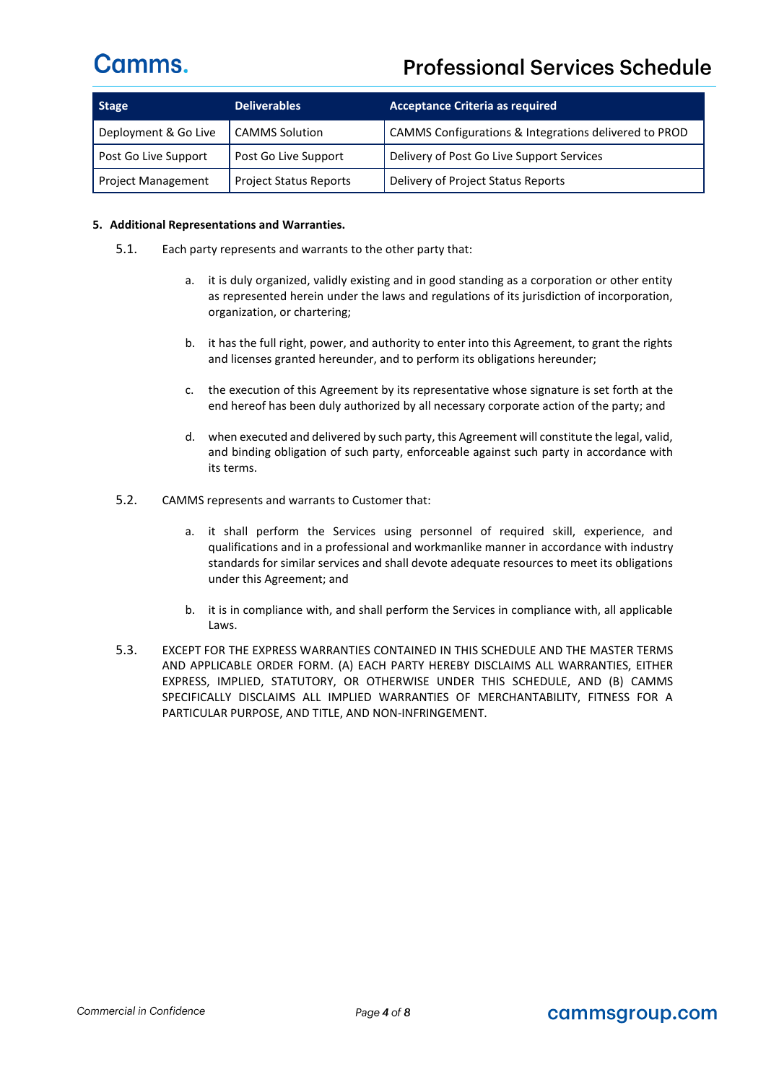### **Professional Services Schedule**

| <b>Stage</b>              | Deliverables                  | <b>Acceptance Criteria as required</b>                |  |
|---------------------------|-------------------------------|-------------------------------------------------------|--|
| Deployment & Go Live      | <b>CAMMS Solution</b>         | CAMMS Configurations & Integrations delivered to PROD |  |
| Post Go Live Support      | Post Go Live Support          | Delivery of Post Go Live Support Services             |  |
| <b>Project Management</b> | <b>Project Status Reports</b> | Delivery of Project Status Reports                    |  |

#### **5. Additional Representations and Warranties.**

- 5.1. Each party represents and warrants to the other party that:
	- a. it is duly organized, validly existing and in good standing as a corporation or other entity as represented herein under the laws and regulations of its jurisdiction of incorporation, organization, or chartering;
	- b. it has the full right, power, and authority to enter into this Agreement, to grant the rights and licenses granted hereunder, and to perform its obligations hereunder;
	- c. the execution of this Agreement by its representative whose signature is set forth at the end hereof has been duly authorized by all necessary corporate action of the party; and
	- d. when executed and delivered by such party, this Agreement will constitute the legal, valid, and binding obligation of such party, enforceable against such party in accordance with its terms.
- 5.2. CAMMS represents and warrants to Customer that:
	- a. it shall perform the Services using personnel of required skill, experience, and qualifications and in a professional and workmanlike manner in accordance with industry standards for similar services and shall devote adequate resources to meet its obligations under this Agreement; and
	- b. it is in compliance with, and shall perform the Services in compliance with, all applicable Laws.
- 5.3. EXCEPT FOR THE EXPRESS WARRANTIES CONTAINED IN THIS SCHEDULE AND THE MASTER TERMS AND APPLICABLE ORDER FORM. (A) EACH PARTY HEREBY DISCLAIMS ALL WARRANTIES, EITHER EXPRESS, IMPLIED, STATUTORY, OR OTHERWISE UNDER THIS SCHEDULE, AND (B) CAMMS SPECIFICALLY DISCLAIMS ALL IMPLIED WARRANTIES OF MERCHANTABILITY, FITNESS FOR A PARTICULAR PURPOSE, AND TITLE, AND NON-INFRINGEMENT.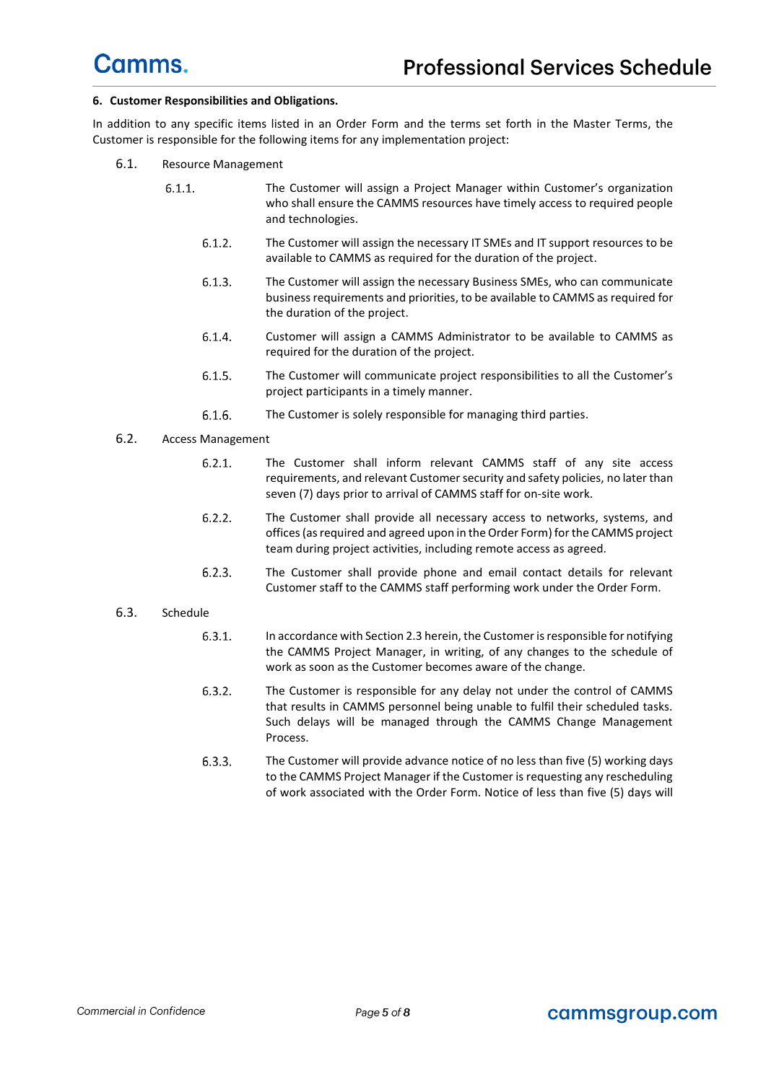#### **6. Customer Responsibilities and Obligations.**

In addition to any specific items listed in an Order Form and the terms set forth in the Master Terms, the Customer is responsible for the following items for any implementation project:

- 6.1. Resource Management
	- $6.1.1.$ The Customer will assign a Project Manager within Customer's organization who shall ensure the CAMMS resources have timely access to required people and technologies.
		- $6.1.2.$ The Customer will assign the necessary IT SMEs and IT support resources to be available to CAMMS as required for the duration of the project.
		- $6.1.3.$ The Customer will assign the necessary Business SMEs, who can communicate business requirements and priorities, to be available to CAMMS as required for the duration of the project.
		- $6.1.4.$ Customer will assign a CAMMS Administrator to be available to CAMMS as required for the duration of the project.
		- $6.1.5.$ The Customer will communicate project responsibilities to all the Customer's project participants in a timely manner.
		- $6.1.6.$ The Customer is solely responsible for managing third parties.
- 6.2. Access Management
	- $6.2.1.$ The Customer shall inform relevant CAMMS staff of any site access requirements, and relevant Customer security and safety policies, no later than seven (7) days prior to arrival of CAMMS staff for on-site work.
	- $6.2.2.$ The Customer shall provide all necessary access to networks, systems, and offices (as required and agreed upon in the Order Form) for the CAMMS project team during project activities, including remote access as agreed.
	- $6.2.3.$ The Customer shall provide phone and email contact details for relevant Customer staff to the CAMMS staff performing work under the Order Form.
- 6.3. Schedule
	- $6.3.1.$ In accordance with Section 2.3 herein, the Customer is responsible for notifying the CAMMS Project Manager, in writing, of any changes to the schedule of work as soon as the Customer becomes aware of the change.
	- $6.3.2.$ The Customer is responsible for any delay not under the control of CAMMS that results in CAMMS personnel being unable to fulfil their scheduled tasks. Such delays will be managed through the CAMMS Change Management Process.
	- $6.3.3.$ The Customer will provide advance notice of no less than five (5) working days to the CAMMS Project Manager if the Customer is requesting any rescheduling of work associated with the Order Form. Notice of less than five (5) days will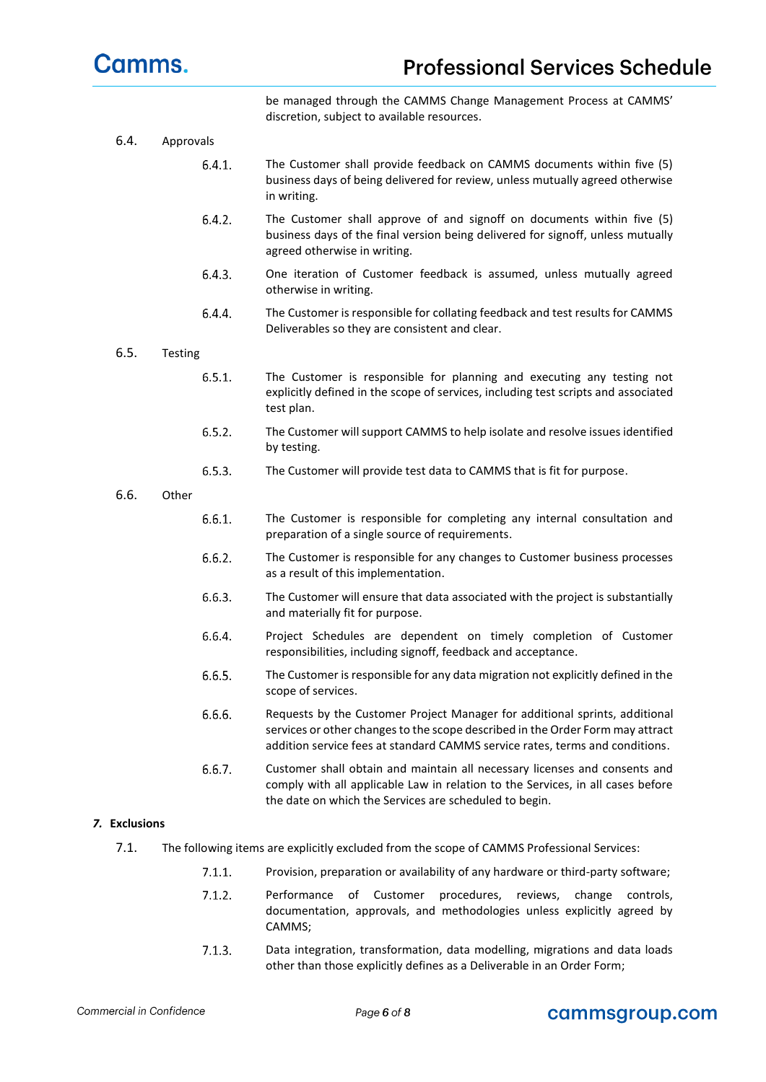

be managed through the CAMMS Change Management Process at CAMMS' discretion, subject to available resources.

- 6.4. Approvals
	- $6.4.1.$ The Customer shall provide feedback on CAMMS documents within five (5) business days of being delivered for review, unless mutually agreed otherwise in writing.
	- $6.4.2.$ The Customer shall approve of and signoff on documents within five (5) business days of the final version being delivered for signoff, unless mutually agreed otherwise in writing.
	- $6.4.3.$ One iteration of Customer feedback is assumed, unless mutually agreed otherwise in writing.
	- $6.4.4.$ The Customer is responsible for collating feedback and test results for CAMMS Deliverables so they are consistent and clear.

#### 6.5. Testing

- $6.5.1.$ The Customer is responsible for planning and executing any testing not explicitly defined in the scope of services, including test scripts and associated test plan.
- $6.5.2.$ The Customer will support CAMMS to help isolate and resolve issues identified by testing.
- $6.5.3.$ The Customer will provide test data to CAMMS that is fit for purpose.

#### 6.6. Other

- $6.6.1.$ The Customer is responsible for completing any internal consultation and preparation of a single source of requirements.
- $6.6.2.$ The Customer is responsible for any changes to Customer business processes as a result of this implementation.
- $6.6.3.$ The Customer will ensure that data associated with the project is substantially and materially fit for purpose.
- 6.6.4. Project Schedules are dependent on timely completion of Customer responsibilities, including signoff, feedback and acceptance.
- $6.6.5.$ The Customer is responsible for any data migration not explicitly defined in the scope of services.
- 6.6.6. Requests by the Customer Project Manager for additional sprints, additional services or other changes to the scope described in the Order Form may attract addition service fees at standard CAMMS service rates, terms and conditions.
- $6.6.7.$ Customer shall obtain and maintain all necessary licenses and consents and comply with all applicable Law in relation to the Services, in all cases before the date on which the Services are scheduled to begin.

#### *7.* **Exclusions**

- 7.1. The following items are explicitly excluded from the scope of CAMMS Professional Services:
	- $7.1.1.$ Provision, preparation or availability of any hardware or third-party software;
	- $7.1.2.$ Performance of Customer procedures, reviews, change controls, documentation, approvals, and methodologies unless explicitly agreed by CAMMS;
	- $7.1.3.$ Data integration, transformation, data modelling, migrations and data loads other than those explicitly defines as a Deliverable in an Order Form;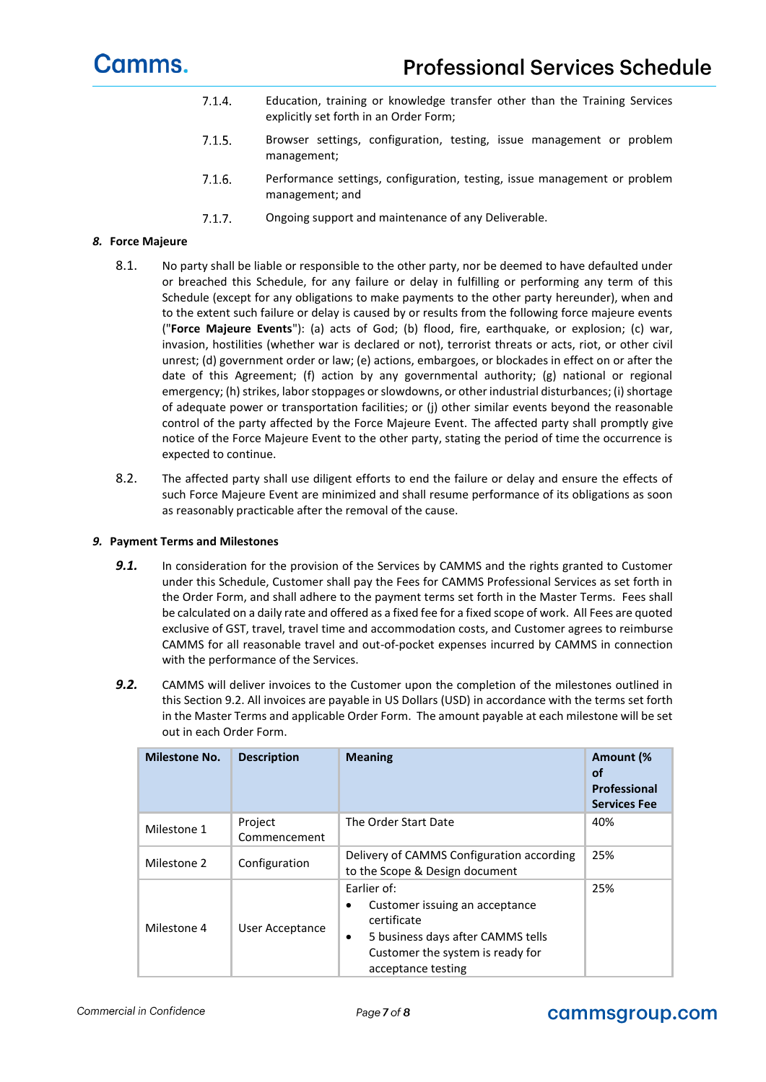- $7.1.4.$ Education, training or knowledge transfer other than the Training Services explicitly set forth in an Order Form;
- $7.1.5.$ Browser settings, configuration, testing, issue management or problem management;
- $7.1.6.$ Performance settings, configuration, testing, issue management or problem management; and
- $7.1.7.$ Ongoing support and maintenance of any Deliverable.

#### *8.* **Force Majeure**

- 8.1. No party shall be liable or responsible to the other party, nor be deemed to have defaulted under or breached this Schedule, for any failure or delay in fulfilling or performing any term of this Schedule (except for any obligations to make payments to the other party hereunder), when and to the extent such failure or delay is caused by or results from the following force majeure events ("**Force Majeure Events**"): (a) acts of God; (b) flood, fire, earthquake, or explosion; (c) war, invasion, hostilities (whether war is declared or not), terrorist threats or acts, riot, or other civil unrest; (d) government order or law; (e) actions, embargoes, or blockades in effect on or after the date of this Agreement; (f) action by any governmental authority; (g) national or regional emergency; (h) strikes, labor stoppages or slowdowns, or other industrial disturbances; (i) shortage of adequate power or transportation facilities; or (j) other similar events beyond the reasonable control of the party affected by the Force Majeure Event. The affected party shall promptly give notice of the Force Majeure Event to the other party, stating the period of time the occurrence is expected to continue.
- 8.2. The affected party shall use diligent efforts to end the failure or delay and ensure the effects of such Force Majeure Event are minimized and shall resume performance of its obligations as soon as reasonably practicable after the removal of the cause.

#### *9.* **Payment Terms and Milestones**

- **9.1.** In consideration for the provision of the Services by CAMMS and the rights granted to Customer under this Schedule, Customer shall pay the Fees for CAMMS Professional Services as set forth in the Order Form, and shall adhere to the payment terms set forth in the Master Terms. Fees shall be calculated on a daily rate and offered as a fixed fee for a fixed scope of work. All Fees are quoted exclusive of GST, travel, travel time and accommodation costs, and Customer agrees to reimburse CAMMS for all reasonable travel and out-of-pocket expenses incurred by CAMMS in connection with the performance of the Services.
- **9.2.** CAMMS will deliver invoices to the Customer upon the completion of the milestones outlined in this Section 9.2. All invoices are payable in US Dollars (USD) in accordance with the terms set forth in the Master Terms and applicable Order Form. The amount payable at each milestone will be set out in each Order Form.

| <b>Milestone No.</b> | <b>Description</b>      | <b>Meaning</b>                                                                                                                                                        | Amount (%<br><b>of</b><br>Professional<br><b>Services Fee</b> |
|----------------------|-------------------------|-----------------------------------------------------------------------------------------------------------------------------------------------------------------------|---------------------------------------------------------------|
| Milestone 1          | Project<br>Commencement | The Order Start Date                                                                                                                                                  | 40%                                                           |
| Milestone 2          | Configuration           | Delivery of CAMMS Configuration according<br>to the Scope & Design document                                                                                           | 25%                                                           |
| Milestone 4          | User Acceptance         | Earlier of:<br>Customer issuing an acceptance<br>٠<br>certificate<br>5 business days after CAMMS tells<br>٠<br>Customer the system is ready for<br>acceptance testing | 25%                                                           |